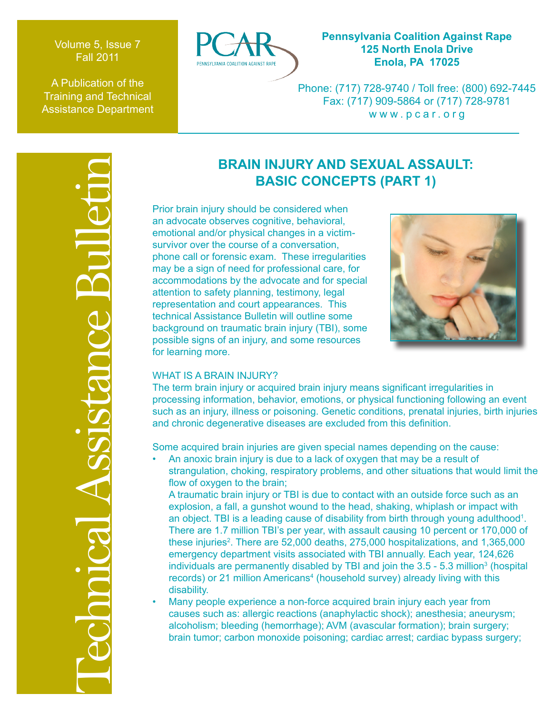Volume 5, Issue 7 Fall 2011

A Publication of the Training and Technical Assistance Department



# **Pennsylvania Coalition Against Rape 125 North Enola Drive Enola, PA 17025**

Phone: (717) 728-9740 / Toll free: (800) 692-7445 Fax: (717) 909-5864 or (717) 728-9781 www.pcar.org

# Technical Assistance Bulletin

# **BRAIN INJURY AND SEXUAL ASSAULT: BASIC CONCEPTS (PART 1)**

Prior brain injury should be considered when an advocate observes cognitive, behavioral, emotional and/or physical changes in a victimsurvivor over the course of a conversation, phone call or forensic exam. These irregularities may be a sign of need for professional care, for accommodations by the advocate and for special attention to safety planning, testimony, legal representation and court appearances. This technical Assistance Bulletin will outline some background on traumatic brain injury (TBI), some possible signs of an injury, and some resources for learning more.



# WHAT IS A BRAIN INJURY?

The term brain injury or acquired brain injury means significant irregularities in processing information, behavior, emotions, or physical functioning following an event such as an injury, illness or poisoning. Genetic conditions, prenatal injuries, birth injuries and chronic degenerative diseases are excluded from this definition.

Some acquired brain injuries are given special names depending on the cause:

• An anoxic brain injury is due to a lack of oxygen that may be a result of strangulation, choking, respiratory problems, and other situations that would limit the flow of oxygen to the brain;

A traumatic brain injury or TBI is due to contact with an outside force such as an explosion, a fall, a gunshot wound to the head, shaking, whiplash or impact with an object. TBI is a leading cause of disability from birth through young adulthood<sup>1</sup>. There are 1.7 million TBI's per year, with assault causing 10 percent or 170,000 of these injuries<sup>2</sup>. There are 52,000 deaths, 275,000 hospitalizations, and 1,365,000 emergency department visits associated with TBI annually. Each year, 124,626 individuals are permanently disabled by TBI and join the  $3.5$  -  $5.3$  million<sup>3</sup> (hospital records) or 21 million Americans<sup>4</sup> (household survey) already living with this disability.

• Many people experience a non-force acquired brain injury each year from causes such as: allergic reactions (anaphylactic shock); anesthesia; aneurysm; alcoholism; bleeding (hemorrhage); AVM (avascular formation); brain surgery; brain tumor; carbon monoxide poisoning; cardiac arrest; cardiac bypass surgery;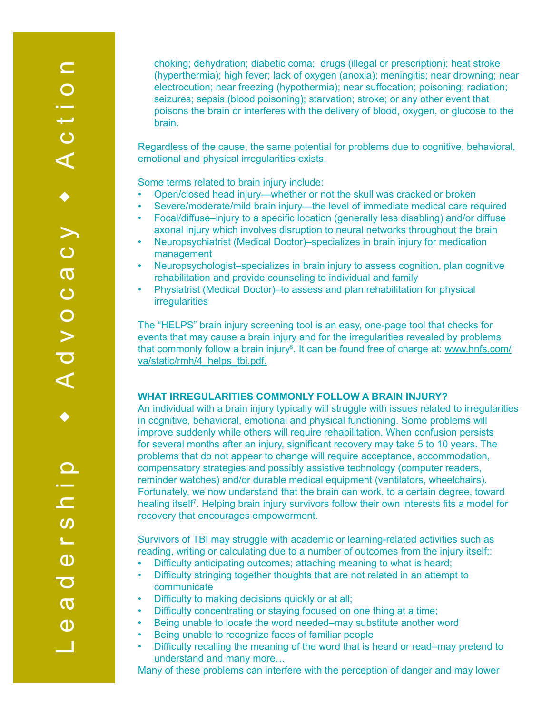choking; dehydration; diabetic coma; drugs (illegal or prescription); heat stroke (hyperthermia); high fever; lack of oxygen (anoxia); meningitis; near drowning; near electrocution; near freezing (hypothermia); near suffocation; poisoning; radiation; seizures; sepsis (blood poisoning); starvation; stroke; or any other event that poisons the brain or interferes with the delivery of blood, oxygen, or glucose to the brain.

Regardless of the cause, the same potential for problems due to cognitive, behavioral, emotional and physical irregularities exists.

Some terms related to brain injury include:

- Open/closed head injury—whether or not the skull was cracked or broken
- Severe/moderate/mild brain injury—the level of immediate medical care required
- Focal/diffuse–injury to a specific location (generally less disabling) and/or diffuse axonal injury which involves disruption to neural networks throughout the brain
- Neuropsychiatrist (Medical Doctor)–specializes in brain injury for medication management
- Neuropsychologist–specializes in brain injury to assess cognition, plan cognitive rehabilitation and provide counseling to individual and family
- Physiatrist (Medical Doctor)–to assess and plan rehabilitation for physical irregularities

The "HELPS" brain injury screening tool is an easy, one-page tool that checks for events that may cause a brain injury and for the irregularities revealed by problems that commonly follow a brain injury<sup>5</sup>. It can be found free of charge at: <u>www.hnfs.com/</u> va/static/rmh/4\_helps\_tbi.pdf.

## **WHAT IRREGULARITIES COMMONLY FOLLOW A BRAIN INJURY?**

An individual with a brain injury typically will struggle with issues related to irregularities in cognitive, behavioral, emotional and physical functioning. Some problems will improve suddenly while others will require rehabilitation. When confusion persists for several months after an injury, significant recovery may take 5 to 10 years. The problems that do not appear to change will require acceptance, accommodation, compensatory strategies and possibly assistive technology (computer readers, reminder watches) and/or durable medical equipment (ventilators, wheelchairs). Fortunately, we now understand that the brain can work, to a certain degree, toward healing itself<sup>7</sup>. Helping brain injury survivors follow their own interests fits a model for recovery that encourages empowerment.

Survivors of TBI may struggle with academic or learning-related activities such as reading, writing or calculating due to a number of outcomes from the injury itself;:

- Difficulty anticipating outcomes; attaching meaning to what is heard;
- Difficulty stringing together thoughts that are not related in an attempt to communicate
- Difficulty to making decisions quickly or at all;
- Difficulty concentrating or staying focused on one thing at a time;
- Being unable to locate the word needed–may substitute another word
	- Being unable to recognize faces of familiar people
	- Difficulty recalling the meaning of the word that is heard or read–may pretend to understand and many more…

Many of these problems can interfere with the perception of danger and may lower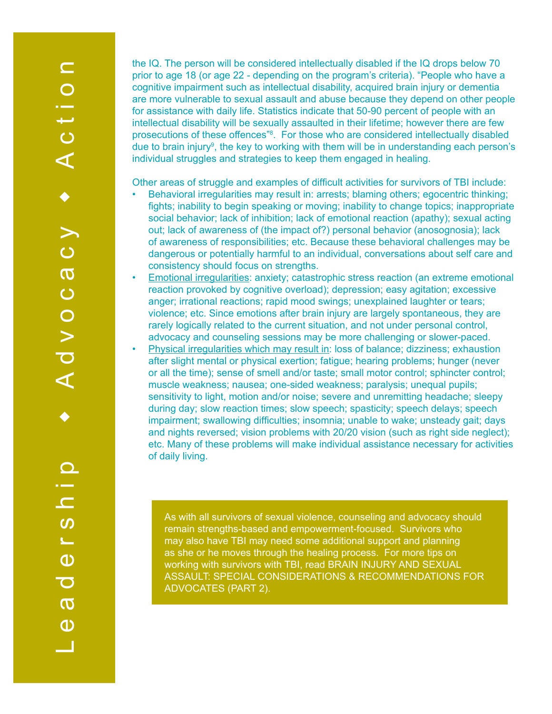the IQ. The person will be considered intellectually disabled if the IQ drops below 70 prior to age 18 (or age 22 - depending on the program's criteria). "People who have a cognitive impairment such as intellectual disability, acquired brain injury or dementia are more vulnerable to sexual assault and abuse because they depend on other people for assistance with daily life. Statistics indicate that 50-90 percent of people with an intellectual disability will be sexually assaulted in their lifetime; however there are few prosecutions of these offences<sup>"8</sup>. For those who are considered intellectually disabled due to brain injury<sup>9</sup>, the key to working with them will be in understanding each person's individual struggles and strategies to keep them engaged in healing.

Other areas of struggle and examples of difficult activities for survivors of TBI include:

- Behavioral irregularities may result in: arrests; blaming others; egocentric thinking; fights; inability to begin speaking or moving; inability to change topics; inappropriate social behavior; lack of inhibition; lack of emotional reaction (apathy); sexual acting out; lack of awareness of (the impact of?) personal behavior (anosognosia); lack of awareness of responsibilities; etc. Because these behavioral challenges may be dangerous or potentially harmful to an individual, conversations about self care and consistency should focus on strengths.
- Emotional irregularities: anxiety; catastrophic stress reaction (an extreme emotional reaction provoked by cognitive overload); depression; easy agitation; excessive anger; irrational reactions; rapid mood swings; unexplained laughter or tears; violence; etc. Since emotions after brain injury are largely spontaneous, they are rarely logically related to the current situation, and not under personal control, advocacy and counseling sessions may be more challenging or slower-paced.
- Physical irregularities which may result in: loss of balance; dizziness; exhaustion after slight mental or physical exertion; fatigue; hearing problems; hunger (never or all the time); sense of smell and/or taste; small motor control; sphincter control; muscle weakness; nausea; one-sided weakness; paralysis; unequal pupils; sensitivity to light, motion and/or noise; severe and unremitting headache; sleepy during day; slow reaction times; slow speech; spasticity; speech delays; speech impairment; swallowing difficulties; insomnia; unable to wake; unsteady gait; days and nights reversed; vision problems with 20/20 vision (such as right side neglect); etc. Many of these problems will make individual assistance necessary for activities of daily living.

As with all survivors of sexual violence, counseling and advocacy should remain strengths-based and empowerment-focused. Survivors who may also have TBI may need some additional support and planning as she or he moves through the healing process. For more tips on working with survivors with TBI, read BRAIN INJURY AND SEXUAL ASSAULT: SPECIAL CONSIDERATIONS & RECOMMENDATIONS FOR ADVOCATES (PART 2).